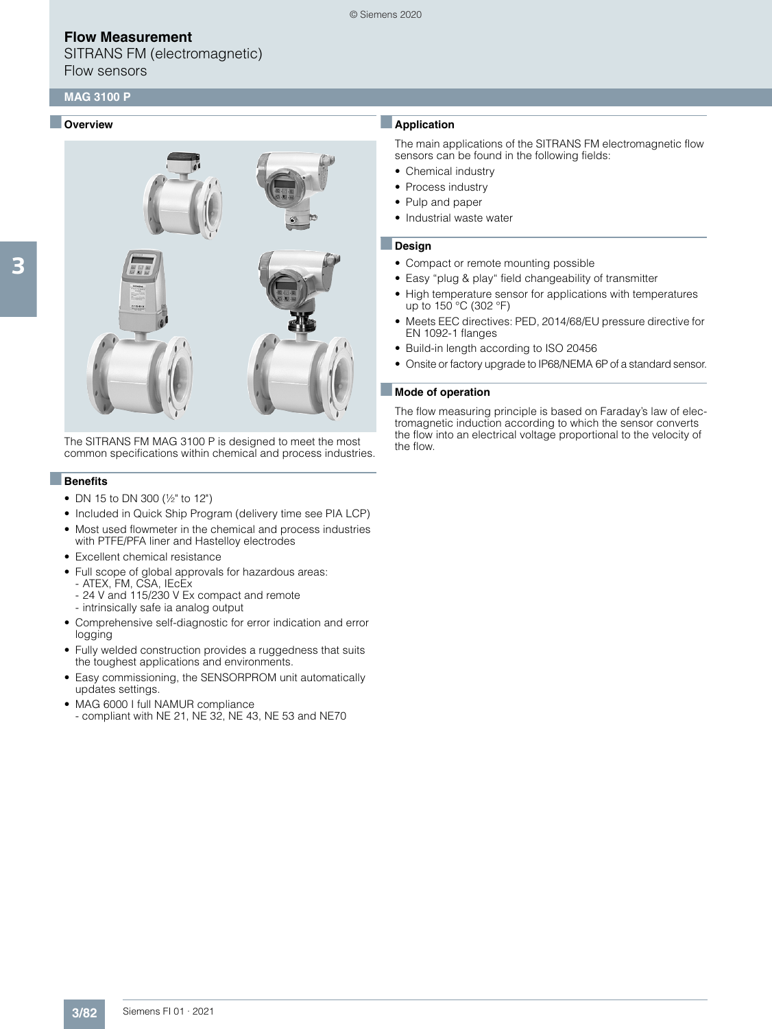SITRANS FM (electromagnetic) Flow sensors

## **MAG 3100 P**

### ■ **Overview**



The SITRANS FM MAG 3100 P is designed to meet the most common specifications within chemical and process industries.

### ■**Benefits**

- DN 15 to DN 300 (½" to 12")
- Included in Quick Ship Program (delivery time see PIA LCP)
- Most used flowmeter in the chemical and process industries with PTFE/PFA liner and Hastelloy electrodes
- Excellent chemical resistance
- Full scope of global approvals for hazardous areas:
- ATEX, FM, CSA, IEcEx - 24 V and 115/230 V Ex compact and remote
- intrinsically safe ia analog output
- Comprehensive self-diagnostic for error indication and error logging
- Fully welded construction provides a ruggedness that suits the toughest applications and environments.
- Easy commissioning, the SENSORPROM unit automatically updates settings.
- MAG 6000 I full NAMUR compliance - compliant with NE 21, NE 32, NE 43, NE 53 and NE70

# ■**Application**

© Siemens 2020

The main applications of the SITRANS FM electromagnetic flow sensors can be found in the following fields:

- Chemical industry
- Process industry
- Pulp and paper
- Industrial waste water

#### ■**Design**

- Compact or remote mounting possible
- Easy "plug & play" field changeability of transmitter
- High temperature sensor for applications with temperatures up to 150 °C (302 °F)
- Meets EEC directives: PED, 2014/68/EU pressure directive for EN 1092-1 flanges
- Build-in length according to ISO 20456
- Onsite or factory upgrade to IP68/NEMA 6P of a standard sensor.

#### ■ **Mode of operation**

The flow measuring principle is based on Faraday's law of electromagnetic induction according to which the sensor converts the flow into an electrical voltage proportional to the velocity of the flow.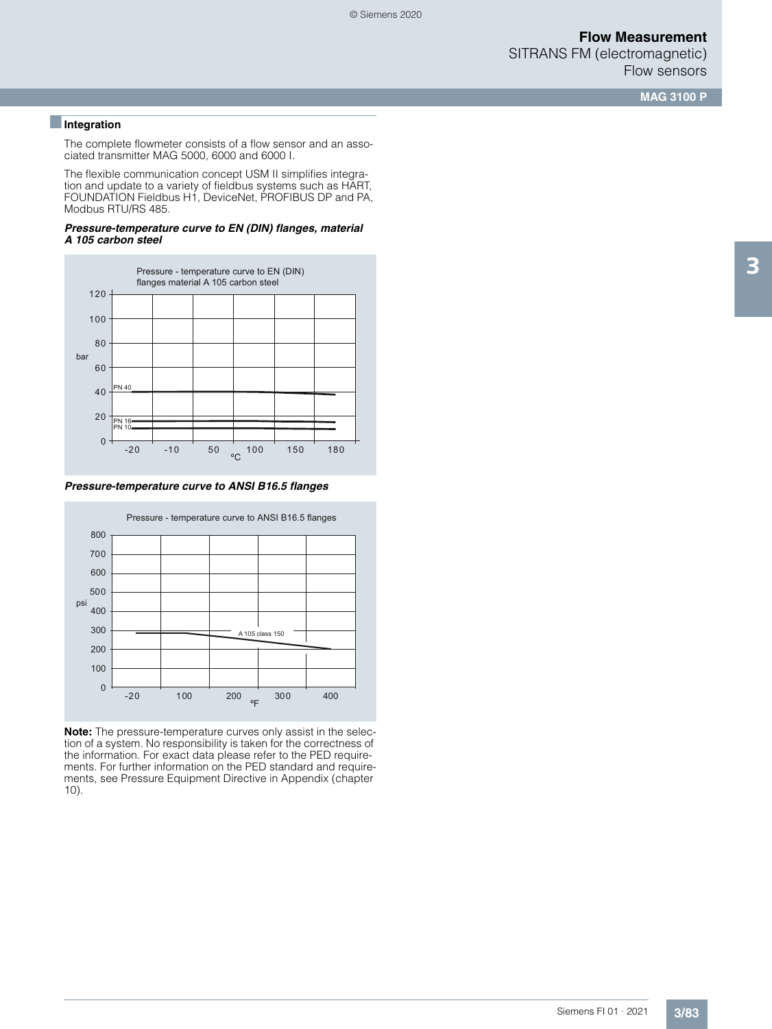SITRANS FM (electromagnetic) Flow sensors

**MAG 3100 P**

### ■**Integration**

The complete flowmeter consists of a flow sensor and an associated transmitter MAG 5000, 6000 and 6000 I.

The flexible communication concept USM II simplifies integration and update to a variety of fieldbus systems such as HART, FOUNDATION Fieldbus H1, DeviceNet, PROFIBUS DP and PA, Modbus RTU/RS 485.

#### *Pressure-temperature curve to EN (DIN) flanges, material A 105 carbon steel*



*Pressure-temperature curve to ANSI B16.5 flanges*



**Note:** The pressure-temperature curves only assist in the selection of a system. No responsibility is taken for the correctness of the information. For exact data please refer to the PED requirements. For further information on the PED standard and requirements, see Pressure Equipment Directive in Appendix (chapter 10).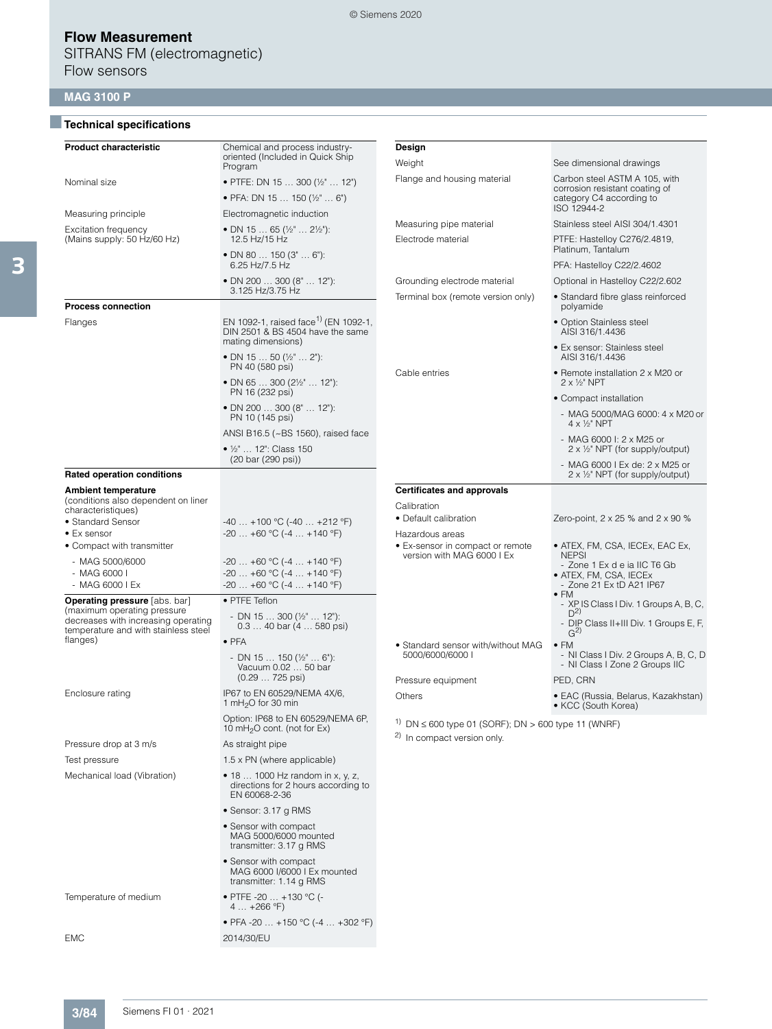■**Technical specifications**

SITRANS FM (electromagnetic) Flow sensors

# **MAG 3100 P**

| <b>Product characteristic</b>                                               | Chemical and process industry-<br>oriented (Included in Quick Ship<br>Program                              | Design<br>Weight                                                                                                | See dimensional drawings                                                   |
|-----------------------------------------------------------------------------|------------------------------------------------------------------------------------------------------------|-----------------------------------------------------------------------------------------------------------------|----------------------------------------------------------------------------|
| Nominal size                                                                | • PTFE: DN 15  300 (1/2"  12")                                                                             | Flange and housing material                                                                                     | Carbon steel ASTM A 105, with                                              |
|                                                                             | • PFA: DN 15  150 ( $\frac{1}{2}$ "  6")                                                                   |                                                                                                                 | corrosion resistant coating of<br>category C4 according to                 |
| Measuring principle                                                         | Electromagnetic induction                                                                                  |                                                                                                                 | ISO 12944-2                                                                |
| Excitation frequency                                                        | • DN 15  65 ( $\frac{1}{2}$ "  2 $\frac{1}{2}$ "):                                                         | Measuring pipe material                                                                                         | Stainless steel AISI 304/1.4301                                            |
| (Mains supply: 50 Hz/60 Hz)                                                 | 12.5 Hz/15 Hz<br>• DN 80  150 (3"  6"):                                                                    | Electrode material                                                                                              | PTFE: Hastelloy C276/2.4819,<br>Platinum, Tantalum                         |
|                                                                             | 6.25 Hz/7.5 Hz                                                                                             |                                                                                                                 | PFA: Hastelloy C22/2.4602                                                  |
|                                                                             | • DN 200  300 (8"  12"):<br>3.125 Hz/3.75 Hz                                                               | Grounding electrode material                                                                                    | Optional in Hastelloy C22/2.602                                            |
| <b>Process connection</b>                                                   |                                                                                                            | Terminal box (remote version only)                                                                              | • Standard fibre glass reinforced<br>polyamide                             |
| Flanges                                                                     | EN 1092-1, raised face <sup>1)</sup> (EN 1092-1,<br>DIN 2501 & BS 4504 have the same<br>mating dimensions) |                                                                                                                 | • Option Stainless steel<br>AISI 316/1.4436                                |
|                                                                             | • DN 15  50 ( $\frac{1}{2}$ 2"):<br>PN 40 (580 psi)                                                        |                                                                                                                 | • Ex sensor: Stainless steel<br>AISI 316/1.4436                            |
|                                                                             | • DN 65  300 ( $2\frac{1}{2}$ "  12"):<br>PN 16 (232 psi)                                                  | Cable entries                                                                                                   | • Remote installation 2 x M20 or<br>$2 \times 1/2$ " NPT                   |
|                                                                             | • DN 200  300 (8"  12"):                                                                                   |                                                                                                                 | • Compact installation                                                     |
|                                                                             | PN 10 (145 psi)<br>ANSI B16.5 (~BS 1560), raised face                                                      |                                                                                                                 | - MAG 5000/MAG 6000: 4 x M20 or<br>$4 \times \frac{1}{2}$ NPT              |
|                                                                             | • 1/2"  12": Class 150                                                                                     |                                                                                                                 | - MAG 6000 l: 2 x M25 or<br>$2 \times \frac{1}{2}$ NPT (for supply/output) |
| <b>Rated operation conditions</b>                                           | (20 bar (290 psi))                                                                                         |                                                                                                                 | - MAG 6000 I Ex de: 2 x M25 or<br>2 x 1/2" NPT (for supply/output)         |
| <b>Ambient temperature</b>                                                  |                                                                                                            | <b>Certificates and approvals</b>                                                                               |                                                                            |
| (conditions also dependent on liner                                         |                                                                                                            | Calibration                                                                                                     |                                                                            |
| characteristiques)<br>• Standard Sensor                                     | $-40+100$ °C ( $-40+212$ °F)                                                                               | • Default calibration                                                                                           | Zero-point, $2 \times 25$ % and $2 \times 90$ %                            |
| • Ex sensor                                                                 | $-20$ +60 °C (-4  +140 °F)                                                                                 | Hazardous areas                                                                                                 |                                                                            |
| • Compact with transmitter                                                  |                                                                                                            | • Ex-sensor in compact or remote<br>version with MAG 6000 I Ex                                                  | • ATEX, FM, CSA, IECEx, EAC Ex,<br><b>NEPSI</b>                            |
| - MAG 5000/6000<br>- MAG 6000 l                                             | $-20+60$ °C (-4  +140 °F)<br>$-20+60$ °C (-4  +140 °F)                                                     |                                                                                                                 | - Zone 1 Ex d e ia IIC T6 Gb<br>• ATEX, FM, CSA, IECEx                     |
| - MAG 6000 I Ex                                                             | $-20$ $+60$ °C ( $-4$ $+140$ °F)                                                                           |                                                                                                                 | - Zone 21 Ex tD A21 IP67<br>$\bullet$ FM                                   |
| <b>Operating pressure</b> [abs. bar]<br>(maximum operating pressure         | • PTFE Teflon                                                                                              |                                                                                                                 | - XPIS Class I Div. 1 Groups A, B, C,<br>$D^{2)}$                          |
| decreases with increasing operating<br>temperature and with stainless steel | - DN 15  300 $(\frac{1}{2}$ 12"):<br>$0.340$ bar $(4580$ psi)                                              |                                                                                                                 | - DIP Class II+III Div. 1 Groups E, F,<br>G <sup>2</sup>                   |
| flanges)                                                                    | $\bullet$ PFA                                                                                              | • Standard sensor with/without MAG                                                                              | $\bullet$ FM                                                               |
|                                                                             | - DN 15  150 ( $\frac{1}{2}$ "  6"):<br>Vacuum 0.02  50 bar                                                | 5000/6000/6000                                                                                                  | - NI Class I Div. 2 Groups A, B, C, D<br>- NI Class I Zone 2 Groups IIC    |
|                                                                             | $(0.29 725 \text{ psi})$                                                                                   | Pressure equipment                                                                                              | PED, CRN                                                                   |
| Enclosure rating                                                            | IP67 to EN 60529/NEMA 4X/6,<br>1 mH <sub>2</sub> O for 30 min                                              | Others                                                                                                          | • EAC (Russia, Belarus, Kazakhstan)<br>• KCC (South Korea)                 |
|                                                                             | Option: IP68 to EN 60529/NEMA 6P,<br>10 mH <sub>2</sub> O cont. (not for Ex)                               | <sup>1)</sup> DN $\leq$ 600 type 01 (SORF); DN $>$ 600 type 11 (WNRF)<br><sup>2)</sup> In compact version only. |                                                                            |
| Pressure drop at 3 m/s                                                      | As straight pipe                                                                                           |                                                                                                                 |                                                                            |
| Test pressure                                                               | 1.5 x PN (where applicable)                                                                                |                                                                                                                 |                                                                            |
| Mechanical load (Vibration)                                                 | • 18  1000 Hz random in x, y, z,<br>directions for 2 hours according to<br>EN 60068-2-36                   |                                                                                                                 |                                                                            |
|                                                                             | • Sensor: 3.17 g RMS                                                                                       |                                                                                                                 |                                                                            |
|                                                                             | • Sensor with compact<br>MAG 5000/6000 mounted<br>transmitter: 3.17 g RMS                                  |                                                                                                                 |                                                                            |
|                                                                             | • Sensor with compact<br>MAG 6000 I/6000 I Ex mounted<br>transmitter: 1.14 g RMS                           |                                                                                                                 |                                                                            |
| Temperature of medium                                                       | • PTFE -20  +130 °C (-<br>$4+266$ °F)                                                                      |                                                                                                                 |                                                                            |
|                                                                             | • PFA -20  +150 °C (-4  +302 °F)                                                                           |                                                                                                                 |                                                                            |

3

EMC 2014/30/EU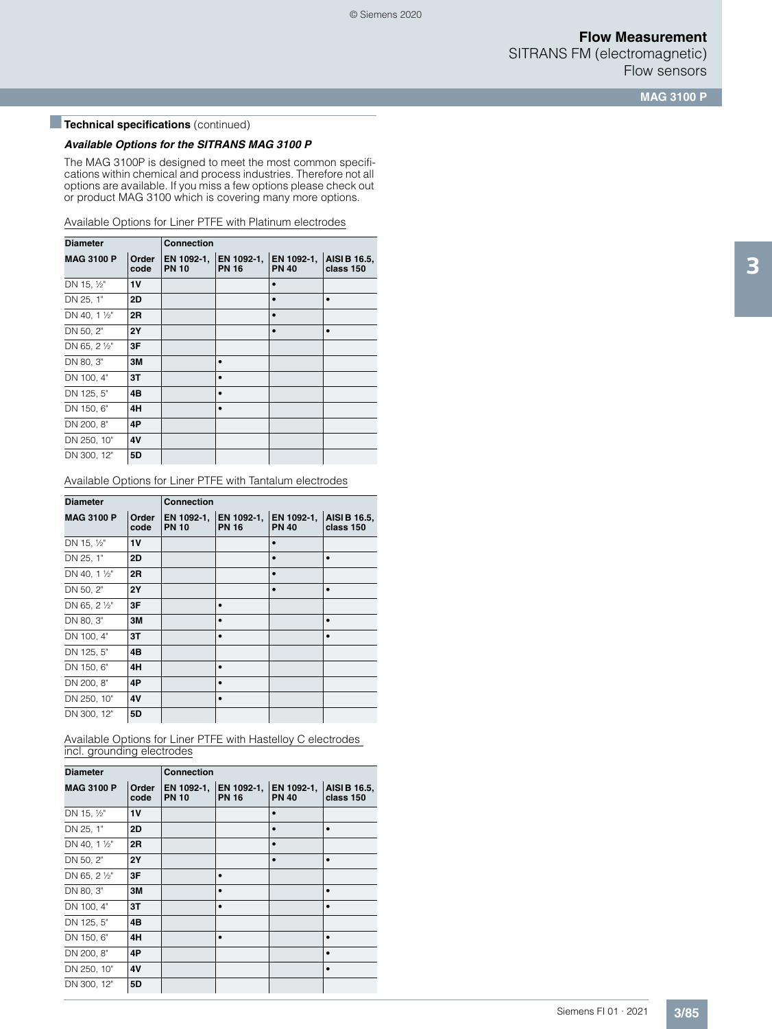SITRANS FM (electromagnetic) Flow sensors

**MAG 3100 P**

# **Technical specifications** (continued)

### *Available Options for the SITRANS MAG 3100 P*

The MAG 3100P is designed to meet the most common specifications within chemical and process industries. Therefore not all options are available. If you miss a few options please check out or product MAG 3100 which is covering many more options.

Available Options for Liner PTFE with Platinum electrodes

| <b>Diameter</b>                    |           | <b>Connection</b>          |                            |                            |                           |  |  |
|------------------------------------|-----------|----------------------------|----------------------------|----------------------------|---------------------------|--|--|
| <b>MAG 3100 P</b><br>Order<br>code |           | EN 1092-1,<br><b>PN 10</b> | EN 1092-1,<br><b>PN 16</b> | EN 1092-1,<br><b>PN 40</b> | AISI B 16.5,<br>class 150 |  |  |
| DN 15, 1/2"                        | 1V        |                            |                            |                            |                           |  |  |
| DN 25, 1"                          | 2D        |                            |                            |                            | $\bullet$                 |  |  |
| DN 40, 1 1/2"                      | 2R        |                            |                            |                            |                           |  |  |
| DN 50, 2"                          | <b>2Y</b> |                            |                            |                            | ٠                         |  |  |
| DN 65, 2 1/2"                      | 3F        |                            |                            |                            |                           |  |  |
| DN 80, 3"                          | ЗM        |                            |                            |                            |                           |  |  |
| DN 100, 4"                         | 3T        |                            |                            |                            |                           |  |  |
| DN 125, 5"                         | 4B        |                            |                            |                            |                           |  |  |
| DN 150, 6"                         | 4H        |                            |                            |                            |                           |  |  |
| DN 200, 8"                         | 4P        |                            |                            |                            |                           |  |  |
| DN 250, 10"                        | 4V        |                            |                            |                            |                           |  |  |
| DN 300, 12"                        | 5D        |                            |                            |                            |                           |  |  |

Available Options for Liner PTFE with Tantalum electrodes

| <b>Diameter</b>   |               | <b>Connection</b>          |                            |                            |                           |  |  |
|-------------------|---------------|----------------------------|----------------------------|----------------------------|---------------------------|--|--|
| <b>MAG 3100 P</b> | Order<br>code | EN 1092-1,<br><b>PN 10</b> | EN 1092-1,<br><b>PN 16</b> | EN 1092-1,<br><b>PN 40</b> | AISI B 16.5,<br>class 150 |  |  |
| DN 15, 1/2"       | 1V            |                            |                            |                            |                           |  |  |
| DN 25, 1"         | 2D            |                            |                            |                            |                           |  |  |
| DN 40, 1 1/2"     | 2R            |                            |                            |                            |                           |  |  |
| DN 50, 2"         | <b>2Y</b>     |                            |                            | $\bullet$                  | ٠                         |  |  |
| DN 65, 2 1/2"     | 3F            |                            |                            |                            |                           |  |  |
| DN 80, 3"         | ЗM            |                            |                            |                            | $\bullet$                 |  |  |
| DN 100, 4"        | 3T            |                            |                            |                            |                           |  |  |
| DN 125, 5"        | 4B            |                            |                            |                            |                           |  |  |
| DN 150, 6"        | 4H            |                            |                            |                            |                           |  |  |
| DN 200, 8"        | 4P            |                            |                            |                            |                           |  |  |
| DN 250, 10"       | 4V            |                            |                            |                            |                           |  |  |
| DN 300, 12"       | 5D            |                            |                            |                            |                           |  |  |

Available Options for Liner PTFE with Hastelloy C electrodes incl. grounding electrodes

| <b>Diameter</b>   |               | <b>Connection</b>          |                            |                            |                           |  |  |
|-------------------|---------------|----------------------------|----------------------------|----------------------------|---------------------------|--|--|
| <b>MAG 3100 P</b> | Order<br>code | EN 1092-1,<br><b>PN 10</b> | EN 1092-1,<br><b>PN 16</b> | EN 1092-1,<br><b>PN 40</b> | AISI B 16.5,<br>class 150 |  |  |
| DN 15, 1/2"       | <b>1V</b>     |                            |                            |                            |                           |  |  |
| DN 25, 1"         | 2D            |                            |                            |                            |                           |  |  |
| DN 40, 1 1/2"     | 2R            |                            |                            | ٠                          |                           |  |  |
| DN 50, 2"         | <b>2Y</b>     |                            |                            |                            |                           |  |  |
| DN 65, 2 1/2"     | 3F            |                            |                            |                            |                           |  |  |
| DN 80, 3"         | 3M            |                            |                            |                            |                           |  |  |
| DN 100, 4"        | 3T            |                            |                            |                            |                           |  |  |
| DN 125, 5"        | 4B            |                            |                            |                            |                           |  |  |
| DN 150, 6"        | 4H            |                            |                            |                            |                           |  |  |
| DN 200, 8"        | 4P            |                            |                            |                            |                           |  |  |
| DN 250, 10"       | 4V            |                            |                            |                            |                           |  |  |
| DN 300, 12"       | 5D            |                            |                            |                            |                           |  |  |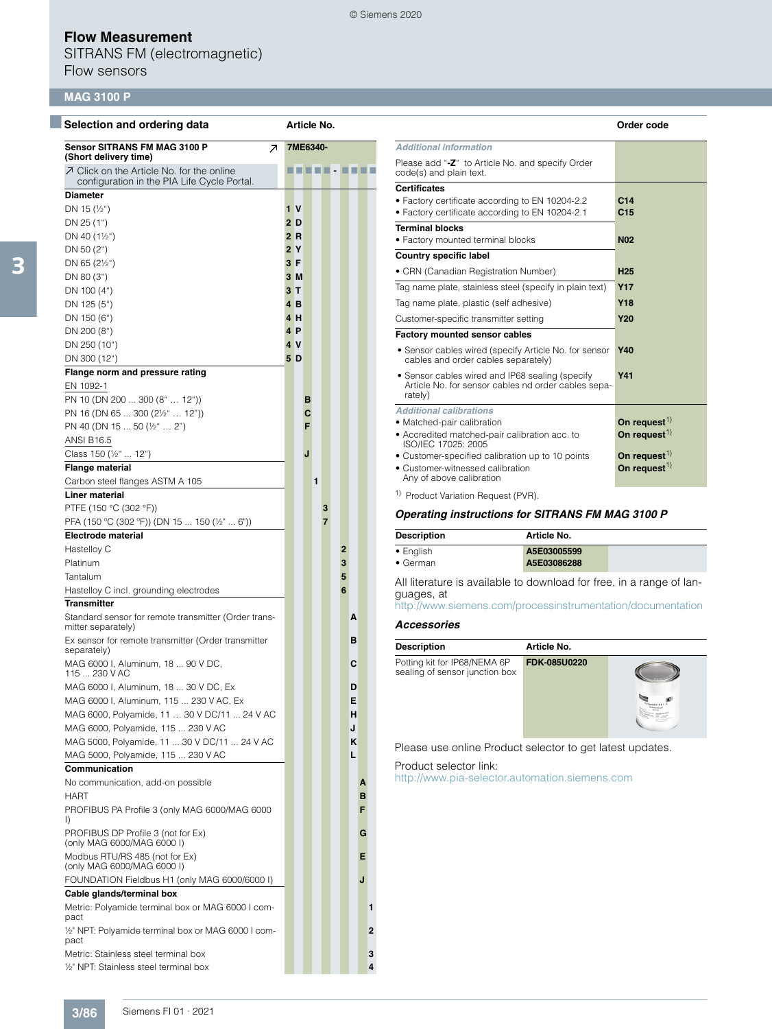SITRANS FM (electromagnetic) Flow sensors

### **MAG 3100 P**

| Selection and ordering data                                        |                | Article No. |   |                |              |   |   |                                                              |                                     |                                                              | Order code              |
|--------------------------------------------------------------------|----------------|-------------|---|----------------|--------------|---|---|--------------------------------------------------------------|-------------------------------------|--------------------------------------------------------------|-------------------------|
| <b>Sensor SITRANS FM MAG 3100 P</b><br>$\overline{\mathcal{A}}$    |                | 7ME6340-    |   |                |              |   |   | <b>Additional information</b>                                |                                     |                                                              |                         |
| (Short delivery time)<br>○ Click on the Article No. for the online |                |             |   |                |              |   | . | code(s) and plain text.                                      |                                     | Please add "-Z" to Article No. and specify Order             |                         |
| configuration in the PIA Life Cycle Portal.                        |                |             |   |                |              |   |   | <b>Certificates</b>                                          |                                     |                                                              |                         |
| <b>Diameter</b>                                                    |                |             |   |                |              |   |   |                                                              |                                     | . Factory certificate according to EN 10204-2.2              | C <sub>14</sub>         |
| DN 15 $(\frac{1}{2})$                                              | 1 <sub>V</sub> |             |   |                |              |   |   | • Factory certificate according to EN 10204-2.1              |                                     |                                                              | C15                     |
| DN 25 (1")                                                         | 2D             |             |   |                |              |   |   | <b>Terminal blocks</b>                                       |                                     |                                                              |                         |
| DN 40 $(1\frac{1}{2})$                                             | 2R             |             |   |                |              |   |   | • Factory mounted terminal blocks                            |                                     |                                                              | <b>N02</b>              |
| DN 50 $(2^{\circ})$                                                | 2Y             |             |   |                |              |   |   | <b>Country specific label</b>                                |                                     |                                                              |                         |
| DN 65 $(2\frac{1}{2})$                                             | 3F             |             |   |                |              |   |   | • CRN (Canadian Registration Number)                         |                                     |                                                              | H <sub>25</sub>         |
| DN 80 (3")                                                         | 3M             |             |   |                |              |   |   |                                                              |                                     | Tag name plate, stainless steel (specify in plain text)      | <b>Y17</b>              |
| DN 100 (4")                                                        | 3T             |             |   |                |              |   |   |                                                              |                                     |                                                              | <b>Y18</b>              |
| DN 125 (5")                                                        | 4B             |             |   |                |              |   |   | Tag name plate, plastic (self adhesive)                      |                                     |                                                              |                         |
| DN 150 (6")                                                        | 4 H            |             |   |                |              |   |   | Customer-specific transmitter setting                        |                                     |                                                              | <b>Y20</b>              |
| DN 200 (8")                                                        | 4 P            |             |   |                |              |   |   | Factory mounted sensor cables                                |                                     |                                                              |                         |
| DN 250 (10")                                                       | 4 V            |             |   |                |              |   |   |                                                              |                                     | • Sensor cables wired (specify Article No. for sensor        | <b>Y40</b>              |
| DN 300 (12")                                                       | 5D             |             |   |                |              |   |   |                                                              | cables and order cables separately) |                                                              |                         |
| Flange norm and pressure rating                                    |                |             |   |                |              |   |   |                                                              |                                     | • Sensor cables wired and IP68 sealing (specify              | Y41                     |
| EN 1092-1                                                          |                |             |   |                |              |   |   | rately)                                                      |                                     | Article No. for sensor cables nd order cables sepa-          |                         |
| PN 10 (DN 200  300 (8"  12"))                                      |                | в           |   |                |              |   |   | <b>Additional calibrations</b>                               |                                     |                                                              |                         |
| PN 16 (DN 65  300 (2 <sup>1/2"</sup> 12"))                         |                | C           |   |                |              |   |   | • Matched-pair calibration                                   |                                     |                                                              | On request <sup>1</sup> |
| PN 40 (DN 15  50 (½"  2")                                          |                | F           |   |                |              |   |   | • Accredited matched-pair calibration acc. to                |                                     |                                                              | On request              |
| <b>ANSI B16.5</b>                                                  |                |             |   |                |              |   |   | ISO/IEC 17025: 2005                                          |                                     |                                                              |                         |
| Class 150 (1/2"  12")                                              |                | J           |   |                |              |   |   |                                                              |                                     | • Customer-specified calibration up to 10 points             | On request              |
| <b>Flange material</b>                                             |                |             |   |                |              |   |   | • Customer-witnessed calibration<br>Any of above calibration |                                     |                                                              | On request              |
| Carbon steel flanges ASTM A 105                                    |                |             | 1 |                |              |   |   |                                                              |                                     |                                                              |                         |
| <b>Liner material</b>                                              |                |             |   |                |              |   |   | <sup>1)</sup> Product Variation Request (PVR).               |                                     |                                                              |                         |
| PTFE (150 °C (302 °F))                                             |                |             |   | 3              |              |   |   |                                                              |                                     | Operating instructions for SITRANS FM MAG 3100 P             |                         |
| PFA (150 °C (302 °F)) (DN 15  150 (½"  6"))                        |                |             |   | $\overline{7}$ |              |   |   |                                                              |                                     |                                                              |                         |
| <b>Electrode material</b>                                          |                |             |   |                |              |   |   | <b>Description</b>                                           |                                     | Article No.                                                  |                         |
| Hastelloy C                                                        |                |             |   |                | $\mathbf{2}$ |   |   | • English                                                    |                                     | A5E03005599                                                  |                         |
| Platinum                                                           |                |             |   |                | 3            |   |   | • German                                                     |                                     | A5E03086288                                                  |                         |
| Tantalum                                                           |                |             |   |                | 5            |   |   |                                                              |                                     | All literature is available to download for free, in a range |                         |
| Hastelloy C incl. grounding electrodes                             |                |             |   |                | 6            |   |   | guages, at                                                   |                                     |                                                              |                         |
| <b>Transmitter</b>                                                 |                |             |   |                |              |   |   |                                                              |                                     | http://www.siemens.com/processinstrumentation/docume         |                         |
| Standard sensor for remote transmitter (Order trans-               |                |             |   |                |              | A |   | <b>Accessories</b>                                           |                                     |                                                              |                         |
| mitter separately)                                                 |                |             |   |                |              |   |   |                                                              |                                     |                                                              |                         |
| Ex sensor for remote transmitter (Order transmitter<br>separately) |                |             |   |                |              | в |   | <b>Description</b>                                           |                                     | Article No.                                                  |                         |
| MAG 6000 I, Aluminum, 18  90 V DC,                                 |                |             |   |                |              | C |   | Potting kit for IP68/NEMA 6P                                 |                                     | FDK-085U0220                                                 |                         |
| 115  230 V AC                                                      |                |             |   |                |              |   |   | sealing of sensor junction box                               |                                     |                                                              |                         |
| MAG 6000 I, Aluminum, 18  30 V DC, Ex                              |                |             |   |                |              | D |   |                                                              |                                     |                                                              |                         |
| MAG 6000 I, Aluminum, 115  230 V AC, Ex                            |                |             |   |                |              | Е |   |                                                              |                                     |                                                              |                         |
| MAG 6000, Polyamide, 11  30 V DC/11  24 V AC                       |                |             |   |                |              | н |   |                                                              |                                     |                                                              |                         |
| MAG 6000, Polyamide, 115  230 V AC                                 |                |             |   |                |              | J |   |                                                              |                                     |                                                              |                         |
| MAG 5000, Polyamide, 11  30 V DC/11  24 V AC                       |                |             |   |                |              | Κ |   |                                                              |                                     |                                                              |                         |
| MAG 5000, Polyamide, 115  230 V AC                                 |                |             |   |                |              | L |   |                                                              |                                     | Please use online Product selector to get latest updates     |                         |
| Communication                                                      |                |             |   |                |              |   |   | Product selector link:                                       |                                     |                                                              |                         |
| No communication, add-on possible                                  |                |             |   |                |              |   | A |                                                              |                                     | http://www.pia-selector.automation.siemens.com               |                         |
| <b>HART</b>                                                        |                |             |   |                |              |   | в |                                                              |                                     |                                                              |                         |
| PROFIBUS PA Profile 3 (only MAG 6000/MAG 6000                      |                |             |   |                |              |   | F |                                                              |                                     |                                                              |                         |
| $\Box$                                                             |                |             |   |                |              |   |   |                                                              |                                     |                                                              |                         |
| PROFIBUS DP Profile 3 (not for Ex)                                 |                |             |   |                |              |   | G |                                                              |                                     |                                                              |                         |
| (only MAG 6000/MAG 6000 I)                                         |                |             |   |                |              |   |   |                                                              |                                     |                                                              |                         |
| Modbus RTU/RS 485 (not for Ex)<br>(only MAG 6000/MAG 6000 I)       |                |             |   |                |              |   | Е |                                                              |                                     |                                                              |                         |
| FOUNDATION Fieldbus H1 (only MAG 6000/6000 I)                      |                |             |   |                |              | J |   |                                                              |                                     |                                                              |                         |
| Cable glands/terminal box                                          |                |             |   |                |              |   |   |                                                              |                                     |                                                              |                         |
|                                                                    |                |             |   |                |              |   |   |                                                              |                                     |                                                              |                         |
| Metric: Polyamide terminal box or MAG 6000 I com-<br>pact          |                |             |   |                |              |   | 1 |                                                              |                                     |                                                              |                         |
| 1/2" NPT: Polyamide terminal box or MAG 6000 I com-<br>pact        |                |             |   |                |              |   | 2 |                                                              |                                     |                                                              |                         |
| Metric: Stainless steel terminal box                               |                |             |   |                |              |   | 3 |                                                              |                                     |                                                              |                         |
| 1/2" NPT: Stainless steel terminal box                             |                |             |   |                |              |   | 4 |                                                              |                                     |                                                              |                         |
|                                                                    |                |             |   |                |              |   |   |                                                              |                                     |                                                              |                         |

|                                                                                                                           | Order code                         |
|---------------------------------------------------------------------------------------------------------------------------|------------------------------------|
| <b>Additional information</b>                                                                                             |                                    |
| Please add "-Z" to Article No. and specify Order<br>code(s) and plain text.                                               |                                    |
| <b>Certificates</b><br>• Factory certificate according to EN 10204-2.2<br>• Factory certificate according to EN 10204-2.1 | C <sub>14</sub><br>C <sub>15</sub> |
| <b>Terminal blocks</b><br>• Factory mounted terminal blocks                                                               | <b>N02</b>                         |
| Country specific label                                                                                                    |                                    |
| • CRN (Canadian Registration Number)                                                                                      | <b>H25</b>                         |
| Tag name plate, stainless steel (specify in plain text)                                                                   | <b>Y17</b>                         |
| Tag name plate, plastic (self adhesive)                                                                                   | <b>Y18</b>                         |
| Customer-specific transmitter setting                                                                                     | <b>Y20</b>                         |
| <b>Factory mounted sensor cables</b>                                                                                      |                                    |
| • Sensor cables wired (specify Article No. for sensor<br>cables and order cables separately)                              | <b>Y40</b>                         |
| • Sensor cables wired and IP68 sealing (specify<br>Article No. for sensor cables nd order cables sepa-<br>rately)         | <b>Y41</b>                         |
| <b>Additional calibrations</b>                                                                                            |                                    |
| • Matched-pair calibration                                                                                                | On request $^{1)}$                 |
| · Accredited matched-pair calibration acc. to<br>ISO/IEC 17025: 2005                                                      | On request $^{1)}$                 |
| • Customer-specified calibration up to 10 points                                                                          | On request $^{1)}$                 |
| • Customer-witnessed calibration<br>Any of above calibration                                                              | On request $^{1)}$                 |

#### *Operating instructions for SITRANS FM MAG 3100 P*

| Description       | Article No. |  |
|-------------------|-------------|--|
| $\bullet$ English | A5E03005599 |  |
| $\bullet$ German  | A5E03086288 |  |

All literature is available to download for free, in a range of languages, at

<http://www.siemens.com/processinstrumentation/documentation>

#### *Accessories*

© Siemens 2020

| <b>Description</b>                                             | Article No.  |  |
|----------------------------------------------------------------|--------------|--|
| Potting kit for IP68/NEMA 6P<br>sealing of sensor junction box | FDK-085U0220 |  |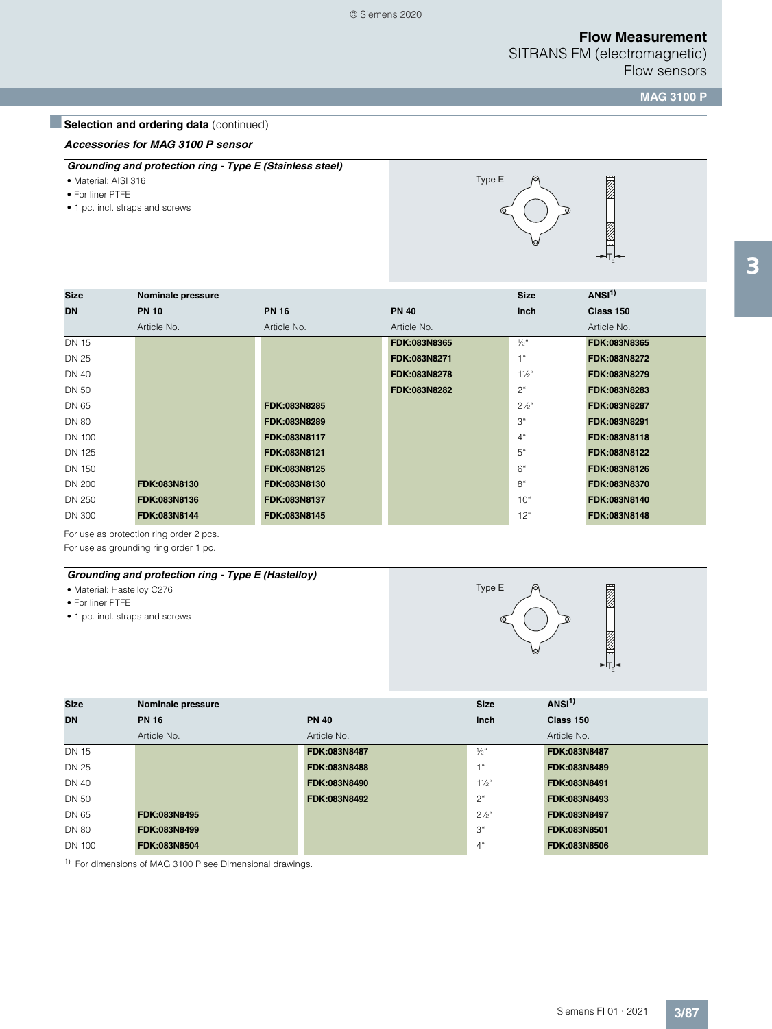SITRANS FM (electromagnetic) Flow sensors

**MAG 3100 P**

# **Belection and ordering data** (continued)

#### *Accessories for MAG 3100 P sensor*

- *Grounding and protection ring Type E (Stainless steel)*
- Material: AISI 316
- For liner PTFE
- 1 pc. incl. straps and screws



| <b>Size</b>  | Nominale pressure |              |              | <b>Size</b>      | ANSI <sup>1</sup> |
|--------------|-------------------|--------------|--------------|------------------|-------------------|
| <b>DN</b>    | <b>PN 10</b>      | <b>PN 16</b> | <b>PN 40</b> | <b>Inch</b>      | Class 150         |
|              | Article No.       | Article No.  | Article No.  |                  | Article No.       |
| <b>DN 15</b> |                   |              | FDK:083N8365 | $\frac{1}{2}$ "  | FDK:083N8365      |
| <b>DN 25</b> |                   |              | FDK:083N8271 | 1"               | FDK:083N8272      |
| DN 40        |                   |              | FDK:083N8278 | $1\frac{1}{2}$ " | FDK:083N8279      |
| DN 50        |                   |              | FDK:083N8282 | $2^{\circ}$      | FDK:083N8283      |
| DN 65        |                   | FDK:083N8285 |              | $2\frac{1}{2}$ " | FDK:083N8287      |
| <b>DN 80</b> |                   | FDK:083N8289 |              | 3 <sup>u</sup>   | FDK:083N8291      |
| DN 100       |                   | FDK:083N8117 |              | 4"               | FDK:083N8118      |
| DN 125       |                   | FDK:083N8121 |              | 5"               | FDK:083N8122      |
| DN 150       |                   | FDK:083N8125 |              | 6"               | FDK:083N8126      |
| DN 200       | FDK:083N8130      | FDK:083N8130 |              | 8"               | FDK:083N8370      |
| DN 250       | FDK:083N8136      | FDK:083N8137 |              | 10 <sup>th</sup> | FDK:083N8140      |
| DN 300       | FDK:083N8144      | FDK:083N8145 |              | 12 <sup>°</sup>  | FDK:083N8148      |

For use as protection ring order 2 pcs.

For use as grounding ring order 1 pc.

### *Grounding and protection ring - Type E (Hastelloy)*

- Material: Hastelloy C276
- For liner PTFE
- 1 pc. incl. straps and screws





| <b>Size</b>  | Nominale pressure |              | <b>Size</b>      | ANSI <sup>1</sup> |
|--------------|-------------------|--------------|------------------|-------------------|
| <b>DN</b>    | <b>PN 16</b>      | <b>PN 40</b> | Inch             | Class 150         |
|              | Article No.       | Article No.  |                  | Article No.       |
| <b>DN 15</b> |                   | FDK:083N8487 | $\frac{1}{2}$ "  | FDK:083N8487      |
| <b>DN 25</b> |                   | FDK:083N8488 | 1 <sup>ii</sup>  | FDK:083N8489      |
| DN 40        |                   | FDK:083N8490 | $1\frac{1}{2}$ " | FDK:083N8491      |
| DN 50        |                   | FDK:083N8492 | $2^{\circ}$      | FDK:083N8493      |
| DN 65        | FDK:083N8495      |              | $2\frac{1}{2}$ " | FDK:083N8497      |
| <b>DN 80</b> | FDK:083N8499      |              | 3 <sup>"</sup>   | FDK:083N8501      |
| DN 100       | FDK:083N8504      |              | 4"               | FDK:083N8506      |

<sup>1)</sup> For dimensions of MAG 3100 P see Dimensional drawings.

3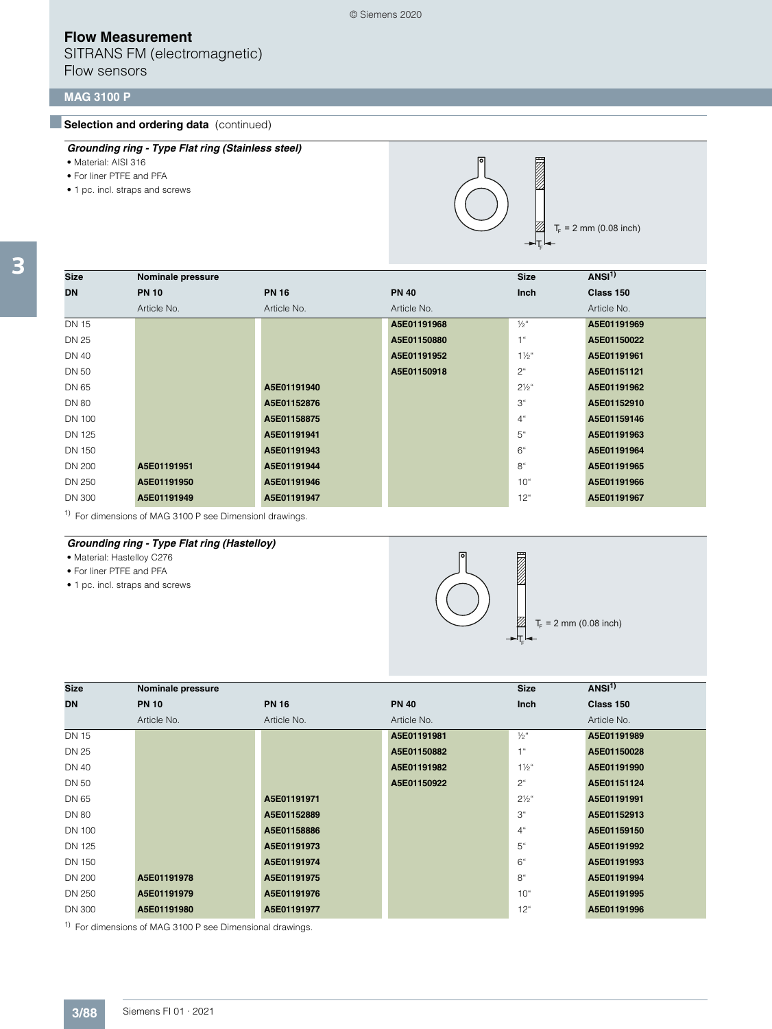SITRANS FM (electromagnetic) Flow sensors

## **MAG 3100 P**

## **Selection and ordering data** (continued)

- Material: AISI 316
- For liner PTFE and PFA
- 1 pc. incl. straps and screws



 $T_F$  = 2 mm (0.08 inch)

| <b>Size</b>   | Nominale pressure |              |              | <b>Size</b>      | ANSI <sup>1</sup> |
|---------------|-------------------|--------------|--------------|------------------|-------------------|
| <b>DN</b>     | <b>PN 10</b>      | <b>PN 16</b> | <b>PN 40</b> | <b>Inch</b>      | Class 150         |
|               | Article No.       | Article No.  | Article No.  |                  | Article No.       |
| <b>DN 15</b>  |                   |              | A5E01191968  | $\frac{1}{2}$ "  | A5E01191969       |
| <b>DN 25</b>  |                   |              | A5E01150880  | 1 <sup>u</sup>   | A5E01150022       |
| <b>DN 40</b>  |                   |              | A5E01191952  | $1\frac{1}{2}$ " | A5E01191961       |
| <b>DN 50</b>  |                   |              | A5E01150918  | $2^{\circ}$      | A5E01151121       |
| DN 65         |                   | A5E01191940  |              | $2\frac{1}{2}$ " | A5E01191962       |
| <b>DN 80</b>  |                   | A5E01152876  |              | 3"               | A5E01152910       |
| DN 100        |                   | A5E01158875  |              | 4"               | A5E01159146       |
| <b>DN 125</b> |                   | A5E01191941  |              | 5"               | A5E01191963       |
| <b>DN 150</b> |                   | A5E01191943  |              | 6"               | A5E01191964       |
| <b>DN 200</b> | A5E01191951       | A5E01191944  |              | 8 <sup>°</sup>   | A5E01191965       |
| DN 250        | A5E01191950       | A5E01191946  |              | $10^{\circ}$     | A5E01191966       |
| <b>DN 300</b> | A5E01191949       | A5E01191947  |              | $12^{\circ}$     | A5E01191967       |

<sup>1)</sup> For dimensions of MAG 3100 P see Dimensionl drawings.

### *Grounding ring - Type Flat ring (Hastelloy)*

• Material: Hastelloy C276

- For liner PTFE and PFA
- 1 pc. incl. straps and screws



| <b>Size</b>   | Nominale pressure |              |              | <b>Size</b>      | ANSI <sup>1</sup> |
|---------------|-------------------|--------------|--------------|------------------|-------------------|
| <b>DN</b>     | <b>PN 10</b>      | <b>PN 16</b> | <b>PN 40</b> | Inch             | Class 150         |
|               | Article No.       | Article No.  | Article No.  |                  | Article No.       |
| <b>DN 15</b>  |                   |              | A5E01191981  | $\frac{1}{2}$ "  | A5E01191989       |
| DN 25         |                   |              | A5E01150882  | 1"               | A5E01150028       |
| DN 40         |                   |              | A5E01191982  | $1\frac{1}{2}$ " | A5E01191990       |
| DN 50         |                   |              | A5E01150922  | $2^{\circ}$      | A5E01151124       |
| DN 65         |                   | A5E01191971  |              | $2\frac{1}{2}$ " | A5E01191991       |
| <b>DN 80</b>  |                   | A5E01152889  |              | 3"               | A5E01152913       |
| <b>DN 100</b> |                   | A5E01158886  |              | 4 <sup>°</sup>   | A5E01159150       |
| DN 125        |                   | A5E01191973  |              | 5"               | A5E01191992       |
| <b>DN 150</b> |                   | A5E01191974  |              | 6"               | A5E01191993       |
| <b>DN 200</b> | A5E01191978       | A5E01191975  |              | 8 <sup>th</sup>  | A5E01191994       |
| DN 250        | A5E01191979       | A5E01191976  |              | 10 <sup>°</sup>  | A5E01191995       |
| <b>DN 300</b> | A5E01191980       | A5E01191977  |              | $12^{\circ}$     | A5E01191996       |

<sup>1)</sup> For dimensions of MAG 3100 P see Dimensional drawings.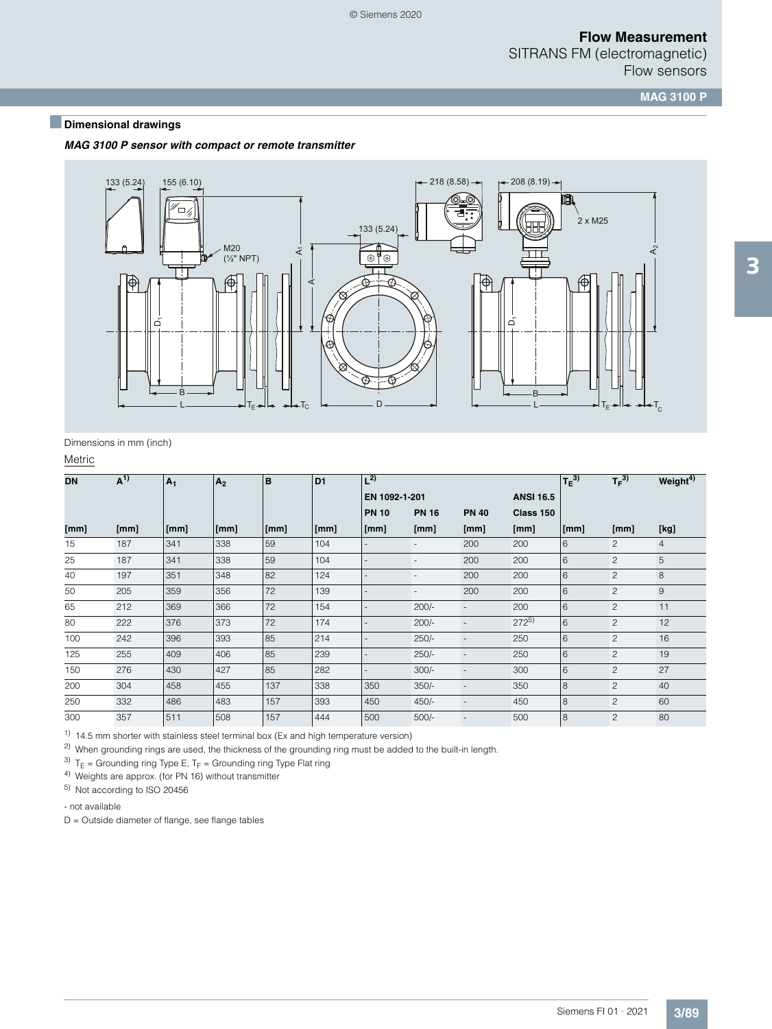SITRANS FM (electromagnetic) Flow sensors

**MAG 3100 P**

# ■**Dimensional drawings**

*MAG 3100 P sensor with compact or remote transmitter*



Dimensions in mm (inch)

**Metric** 

| <b>DN</b> | $A^{(1)}$ | A <sub>1</sub> | A <sub>2</sub> | B    | D <sub>1</sub> | $L^{2)}$      |                          |                          |                  | $T_E^{(3)}$ | $T_F^{3)}$     | Weight <sup>4)</sup> |
|-----------|-----------|----------------|----------------|------|----------------|---------------|--------------------------|--------------------------|------------------|-------------|----------------|----------------------|
|           |           |                |                |      |                | EN 1092-1-201 |                          |                          | <b>ANSI 16.5</b> |             |                |                      |
|           |           |                |                |      |                | <b>PN 10</b>  | <b>PN 16</b>             | <b>PN 40</b>             | Class 150        |             |                |                      |
| [mm]      | [mm]      | [mm]           | [mm]           | [mm] | [mm]           | [mm]          | [mm]                     | [mm]                     | [mm]             | [mm]        | [mm]           | [kg]                 |
| 15        | 187       | 341            | 338            | 59   | 104            |               | $\overline{\phantom{0}}$ | 200                      | 200              | 6           | 2              | 4                    |
| 25        | 187       | 341            | 338            | 59   | 104            |               | $\overline{\phantom{a}}$ | 200                      | 200              | 6           | $\overline{c}$ | 5                    |
| 40        | 197       | 351            | 348            | 82   | 124            |               | $\overline{\phantom{a}}$ | 200                      | 200              | 6           | $\overline{c}$ | 8                    |
| 50        | 205       | 359            | 356            | 72   | 139            |               | $\overline{\phantom{a}}$ | 200                      | 200              | 6           | $\overline{c}$ | $\overline{9}$       |
| 65        | 212       | 369            | 366            | 72   | 154            |               | $200/-$                  | $\overline{\phantom{a}}$ | 200              | 6           | $\overline{c}$ | 11                   |
| 80        | 222       | 376            | 373            | 72   | 174            |               | $200/-$                  | $\overline{\phantom{a}}$ | $272^{5}$        | 6           | $\overline{c}$ | 12                   |
| 100       | 242       | 396            | 393            | 85   | 214            |               | $250/-$                  | $\overline{\phantom{a}}$ | 250              | 6           | $\overline{c}$ | 16                   |
| 125       | 255       | 409            | 406            | 85   | 239            |               | $250/-$                  | $\overline{\phantom{a}}$ | 250              | 6           | $\overline{c}$ | 19                   |
| 150       | 276       | 430            | 427            | 85   | 282            |               | $300/-$                  | $\overline{\phantom{a}}$ | 300              | 6           | $\overline{c}$ | 27                   |
| 200       | 304       | 458            | 455            | 137  | 338            | 350           | $350/-$                  | $\overline{\phantom{a}}$ | 350              | 8           | 2              | 40                   |
| 250       | 332       | 486            | 483            | 157  | 393            | 450           | $450/-$                  | $\overline{\phantom{a}}$ | 450              | 8           | $\overline{c}$ | 60                   |
| 300       | 357       | 511            | 508            | 157  | 444            | 500           | $500/-$                  | $\overline{\phantom{a}}$ | 500              | 8           | $\overline{c}$ | 80                   |

 $1)$  14.5 mm shorter with stainless steel terminal box (Ex and high temperature version)

<sup>2)</sup> When grounding rings are used, the thickness of the grounding ring must be added to the built-in length.

<sup>3)</sup>  $T_E$  = Grounding ring Type E,  $T_F$  = Grounding ring Type Flat ring

4) Weights are approx. (for PN 16) without transmitter

5) Not according to ISO 20456

- not available

D = Outside diameter of flange, see flange tables